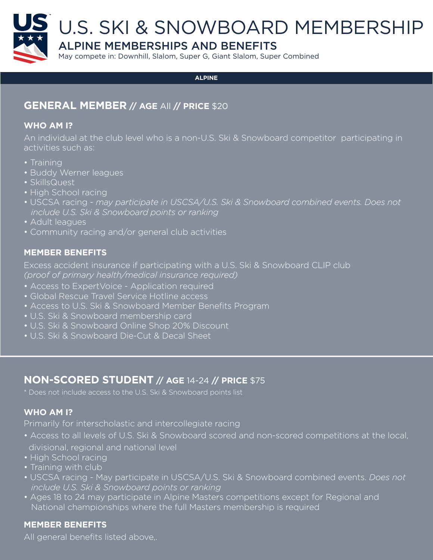

#### **ALPINE**

### **GENERAL MEMBER // AGE** All **// PRICE** \$20

#### **WHO AM I?**

An individual at the club level who is a non-U.S. Ski & Snowboard competitor participating in activities such as:

- Training
- Buddy Werner leagues
- SkillsQuest
- High School racing
- USCSA racing *may participate in USCSA/U.S. Ski & Snowboard combined events. Does not include U.S. Ski & Snowboard points or ranking*
- Adult leagues
- Community racing and/or general club activities

### **MEMBER BENEFITS**

Excess accident insurance if participating with a U.S. Ski & Snowboard CLIP club *(proof of primary health/medical insurance required)*

- Access to ExpertVoice Application required
- Global Rescue Travel Service Hotline access
- Access to U.S. Ski & Snowboard Member Benefits Program
- U.S. Ski & Snowboard membership card
- U.S. Ski & Snowboard Online Shop 20% Discount
- U.S. Ski & Snowboard Die-Cut & Decal Sheet

### **NON-SCORED STUDENT // AGE** 14-24 **// PRICE** \$75

\* Does not include access to the U.S. Ski & Snowboard points list

### **WHO AM I?**

Primarily for interscholastic and intercollegiate racing

- Access to all levels of U.S. Ski & Snowboard scored and non-scored competitions at the local, divisional, regional and national level
- High School racing
- Training with club
- USCSA racing May participate in USCSA/U.S. Ski & Snowboard combined events. *Does not include U.S. Ski & Snowboard points or ranking*
- Ages 18 to 24 may participate in Alpine Masters competitions except for Regional and National championships where the full Masters membership is required

### **MEMBER BENEFITS**

All general benefits listed above,.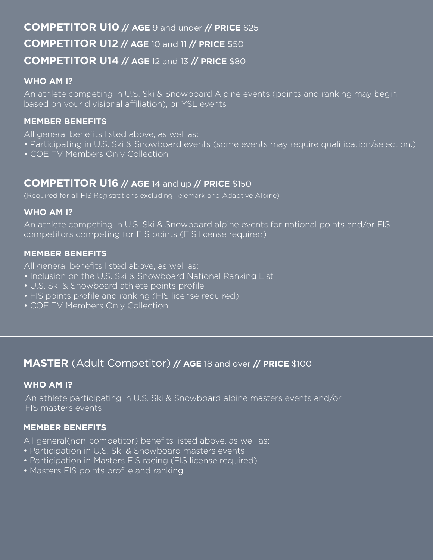# **COMPETITOR U10 // AGE** 9 and under **// PRICE** \$25 **COMPETITOR U12 // AGE** 10 and 11 **// PRICE** \$50 **COMPETITOR U14 // AGE** 12 and 13 **// PRICE** \$80

### **WHO AM I?**

An athlete competing in U.S. Ski & Snowboard Alpine events (points and ranking may begin based on your divisional affiliation), or YSL events

### **MEMBER BENEFITS**

All general benefits listed above, as well as:

- Participating in U.S. Ski & Snowboard events (some events may require qualification/selection.)
- COE TV Members Only Collection

### **COMPETITOR U16 // AGE** 14 and up **// PRICE** \$150

(Required for all FIS Registrations excluding Telemark and Adaptive Alpine)

#### **WHO AM I?**

An athlete competing in U.S. Ski & Snowboard alpine events for national points and/or FIS competitors competing for FIS points (FIS license required)

### **MEMBER BENEFITS**

All general benefits listed above, as well as:

- Inclusion on the U.S. Ski & Snowboard National Ranking List
- U.S. Ski & Snowboard athlete points profile
- FIS points profile and ranking (FIS license required)
- COE TV Members Only Collection

# **MASTER** (Adult Competitor) **// AGE** 18 and over **// PRICE** \$100

#### **WHO AM I?**

An athlete participating in U.S. Ski & Snowboard alpine masters events and/or FIS masters events

### **MEMBER BENEFITS**

All general(non-competitor) benefits listed above, as well as:

- Participation in U.S. Ski & Snowboard masters events
- Participation in Masters FIS racing (FIS license required)
- Masters FIS points profile and ranking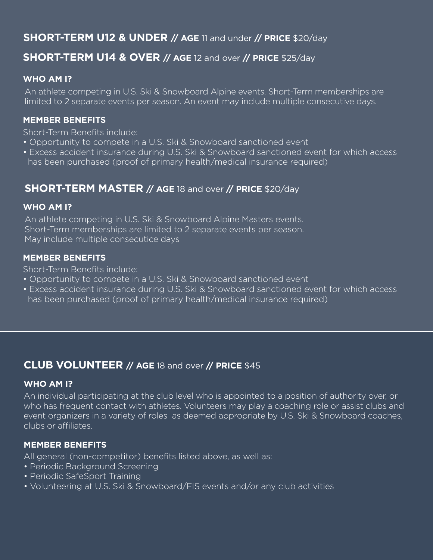# **SHORT-TERM U12 & UNDER // AGE** 11 and under **// PRICE** \$20/day

### **SHORT-TERM U14 & OVER // AGE** 12 and over **// PRICE** \$25/day

### **WHO AM I?**

An athlete competing in U.S. Ski & Snowboard Alpine events. Short-Term memberships are limited to 2 separate events per season. An event may include multiple consecutive days.

### **MEMBER BENEFITS**

Short-Term Benefits include:

- Opportunity to compete in a U.S. Ski & Snowboard sanctioned event
- Excess accident insurance during U.S. Ski & Snowboard sanctioned event for which access has been purchased (proof of primary health/medical insurance required)

# **SHORT-TERM MASTER // AGE** 18 and over **// PRICE** \$20/day

#### **WHO AM I?**

An athlete competing in U.S. Ski & Snowboard Alpine Masters events. Short-Term memberships are limited to 2 separate events per season. May include multiple consecutice days

#### **MEMBER BENEFITS**

Short-Term Benefits include:

- Opportunity to compete in a U.S. Ski & Snowboard sanctioned event
- Excess accident insurance during U.S. Ski & Snowboard sanctioned event for which access has been purchased (proof of primary health/medical insurance required)

### **CLUB VOLUNTEER // AGE** 18 and over **// PRICE** \$45

#### **WHO AM I?**

An individual participating at the club level who is appointed to a position of authority over, or who has frequent contact with athletes. Volunteers may play a coaching role or assist clubs and event organizers in a variety of roles as deemed appropriate by U.S. Ski & Snowboard coaches, clubs or affiliates.

### **MEMBER BENEFITS**

All general (non-competitor) benefits listed above, as well as:

- Periodic Background Screening
- Periodic SafeSport Training
- Volunteering at U.S. Ski & Snowboard/FIS events and/or any club activities